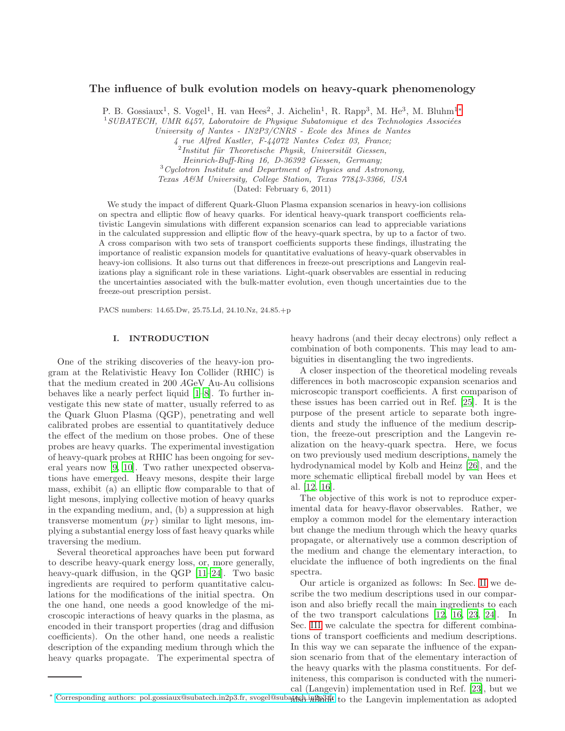# The influence of bulk evolution models on heavy-quark phenomenology

P. B. Gossiaux<sup>1</sup>, S. Vogel<sup>1</sup>, H. van Hees<sup>2</sup>, J. Aichelin<sup>1</sup>, R. Rapp<sup>3</sup>, M. He<sup>3</sup>, M. Bluhm<sup>1\*</sup>

 $1$ SUBATECH, UMR 6457, Laboratoire de Physique Subatomique et des Technologies Associées

University of Nantes - IN2P3/CNRS - Ecole des Mines de Nantes

4 rue Alfred Kastler, F-44072 Nantes Cedex 03, France;

<sup>2</sup> Institut für Theoretische Physik, Universität Giessen,

Heinrich-Buff-Ring 16, D-36392 Giessen, Germany;

 $3Cyclotron Institute and Department of Physics and Astronomy,$ 

Texas A&M University, College Station, Texas 77843-3366, USA

(Dated: February 6, 2011)

We study the impact of different Quark-Gluon Plasma expansion scenarios in heavy-ion collisions on spectra and elliptic flow of heavy quarks. For identical heavy-quark transport coefficients relativistic Langevin simulations with different expansion scenarios can lead to appreciable variations in the calculated suppression and elliptic flow of the heavy-quark spectra, by up to a factor of two. A cross comparison with two sets of transport coefficients supports these findings, illustrating the importance of realistic expansion models for quantitative evaluations of heavy-quark observables in heavy-ion collisions. It also turns out that differences in freeze-out prescriptions and Langevin realizations play a significant role in these variations. Light-quark observables are essential in reducing the uncertainties associated with the bulk-matter evolution, even though uncertainties due to the freeze-out prescription persist.

PACS numbers: 14.65.Dw, 25.75.Ld, 24.10.Nz, 24.85.+p

#### I. INTRODUCTION

One of the striking discoveries of the heavy-ion program at the Relativistic Heavy Ion Collider (RHIC) is that the medium created in 200 AGeV Au-Au collisions behaves like a nearly perfect liquid [\[1](#page-7-0)[–8](#page-8-0)]. To further investigate this new state of matter, usually referred to as the Quark Gluon Plasma (QGP), penetrating and well calibrated probes are essential to quantitatively deduce the effect of the medium on those probes. One of these probes are heavy quarks. The experimental investigation of heavy-quark probes at RHIC has been ongoing for several years now [\[9](#page-8-1), [10\]](#page-8-2). Two rather unexpected observations have emerged. Heavy mesons, despite their large mass, exhibit (a) an elliptic flow comparable to that of light mesons, implying collective motion of heavy quarks in the expanding medium, and, (b) a suppression at high transverse momentum  $(p_T)$  similar to light mesons, implying a substantial energy loss of fast heavy quarks while traversing the medium.

Several theoretical approaches have been put forward to describe heavy-quark energy loss, or, more generally, heavy-quark diffusion, in the QGP [\[11](#page-8-3)[–24](#page-8-4)]. Two basic ingredients are required to perform quantitative calculations for the modifications of the initial spectra. On the one hand, one needs a good knowledge of the microscopic interactions of heavy quarks in the plasma, as encoded in their transport properties (drag and diffusion coefficients). On the other hand, one needs a realistic description of the expanding medium through which the heavy quarks propagate. The experimental spectra of heavy hadrons (and their decay electrons) only reflect a combination of both components. This may lead to ambiguities in disentangling the two ingredients.

A closer inspection of the theoretical modeling reveals differences in both macroscopic expansion scenarios and microscopic transport coefficients. A first comparison of these issues has been carried out in Ref. [\[25\]](#page-8-5). It is the purpose of the present article to separate both ingredients and study the influence of the medium description, the freeze-out prescription and the Langevin realization on the heavy-quark spectra. Here, we focus on two previously used medium descriptions, namely the hydrodynamical model by Kolb and Heinz [\[26\]](#page-8-6), and the more schematic elliptical fireball model by van Hees et al. [\[12,](#page-8-7) [16\]](#page-8-8).

The objective of this work is not to reproduce experimental data for heavy-flavor observables. Rather, we employ a common model for the elementary interaction but change the medium through which the heavy quarks propagate, or alternatively use a common description of the medium and change the elementary interaction, to elucidate the influence of both ingredients on the final spectra.

Our article is organized as follows: In Sec. [II](#page-1-0) we describe the two medium descriptions used in our comparison and also briefly recall the main ingredients to each of the two transport calculations [\[12,](#page-8-7) [16](#page-8-8), [23](#page-8-9), [24\]](#page-8-4). In Sec. [III](#page-3-0) we calculate the spectra for different combinations of transport coefficients and medium descriptions. In this way we can separate the influence of the expansion scenario from that of the elementary interaction of the heavy quarks with the plasma constituents. For definiteness, this comparison is conducted with the numerical (Langevin) implementation used in Ref. [\[23\]](#page-8-9), but we

<span id="page-0-0"></span>\* [Corresponding authors: pol.gossiaux@subatech.in2p3.fr, svogel@subatech.in2p3.fr](mailto:Corresponding authors: pol.gossiaux@subatech.in2p3.fr, svogel@subatech.in2p3.fr), svogel@subatech.in2p3.fr, svogel@subatech.in2p3.fr, svogel@subatech.in2p3.fr, svogel@subatech.in2p3.fr, svogel@subatech.in2p3.fr, svogel@su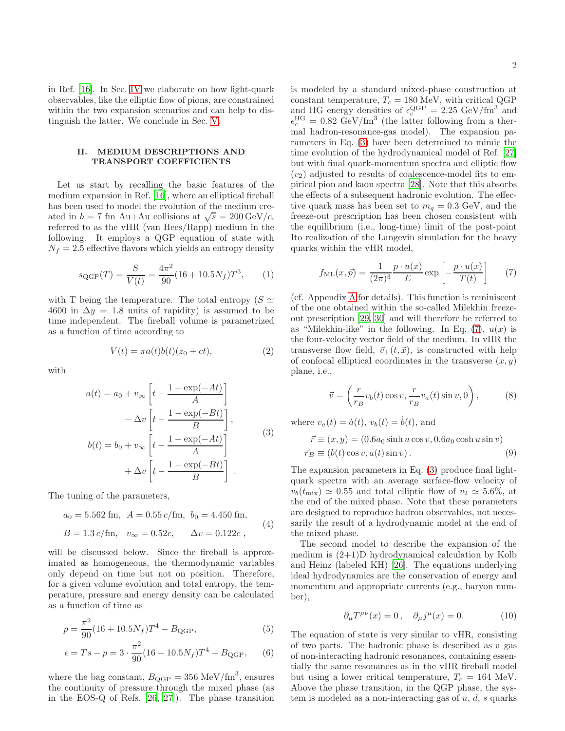in Ref. [\[16\]](#page-8-8). In Sec. [IV](#page-4-0) we elaborate on how light-quark observables, like the elliptic flow of pions, are constrained within the two expansion scenarios and can help to distinguish the latter. We conclude in Sec. [V.](#page-6-0)

### <span id="page-1-0"></span>II. MEDIUM DESCRIPTIONS AND TRANSPORT COEFFICIENTS

Let us start by recalling the basic features of the medium expansion in Ref. [\[16\]](#page-8-8), where an elliptical fireball has been used to model the evolution of the medium created in  $b = 7$  fm Au+Au collisions at  $\sqrt{s} = 200 \,\text{GeV}/c$ , referred to as the vHR (van Hees/Rapp) medium in the following. It employs a QGP equation of state with  $N_f = 2.5$  effective flavors which yields an entropy density

$$
s_{\text{QGP}}(T) = \frac{S}{V(t)} = \frac{4\pi^2}{90}(16 + 10.5N_f)T^3, \qquad (1)
$$

with T being the temperature. The total entropy ( $S \simeq$ 4600 in  $\Delta y = 1.8$  units of rapidity) is assumed to be time independent. The fireball volume is parametrized as a function of time according to

$$
V(t) = \pi a(t)b(t)(z_0 + ct), \qquad (2)
$$

<span id="page-1-1"></span>with

$$
a(t) = a_0 + v_{\infty} \left[ t - \frac{1 - \exp(-At)}{A} \right]
$$

$$
- \Delta v \left[ t - \frac{1 - \exp(-Bt)}{B} \right],
$$

$$
b(t) = b_0 + v_{\infty} \left[ t - \frac{1 - \exp(-At)}{A} \right]
$$

$$
+ \Delta v \left[ t - \frac{1 - \exp(-Bt)}{B} \right].
$$

$$
(3)
$$

The tuning of the parameters,

$$
a_0 = 5.562
$$
 fm,  $A = 0.55 c$ /fm,  $b_0 = 4.450$  fm,  
\n $B = 1.3 c$ /fm,  $v_{\infty} = 0.52c$ ,  $\Delta v = 0.122c$ , (4)

will be discussed below. Since the fireball is approximated as homogeneous, the thermodynamic variables only depend on time but not on position. Therefore, for a given volume evolution and total entropy, the temperature, pressure and energy density can be calculated as a function of time as

$$
p = \frac{\pi^2}{90} (16 + 10.5N_f) T^4 - B_{\text{QGP}},
$$
\n(5)

$$
\epsilon = Ts - p = 3 \cdot \frac{\pi^2}{90} (16 + 10.5N_f) T^4 + B_{\text{QGP}}, \qquad (6)
$$

where the bag constant,  $B_{\text{QGP}} = 356 \text{ MeV/fm}^3$ , ensures the continuity of pressure through the mixed phase (as in the EOS-Q of Refs. [\[26](#page-8-6), [27](#page-8-10)]). The phase transition is modeled by a standard mixed-phase construction at constant temperature,  $T_c = 180$  MeV, with critical QGP and HG energy densities of  $\epsilon_c^{\text{QGP}} = 2.25 \text{ GeV/fm}^3$  and  $\epsilon_c^{\text{HG}} = 0.82 \text{ GeV/fm}^3$  (the latter following from a thermal hadron-resonance-gas model). The expansion parameters in Eq. [\(3\)](#page-1-1) have been determined to mimic the time evolution of the hydrodynamical model of Ref. [\[27\]](#page-8-10) but with final quark-momentum spectra and elliptic flow  $(v_2)$  adjusted to results of coalescence-model fits to empirical pion and kaon spectra [\[28\]](#page-8-11). Note that this absorbs the effects of a subsequent hadronic evolution. The effective quark mass has been set to  $m_q = 0.3$  GeV, and the freeze-out prescription has been chosen consistent with the equilibrium (i.e., long-time) limit of the post-point Ito realization of the Langevin simulation for the heavy quarks within the vHR model,

<span id="page-1-2"></span>
$$
f_{\rm ML}(x,\vec{p}) = \frac{1}{(2\pi)^3} \frac{p \cdot u(x)}{E} \exp\left[-\frac{p \cdot u(x)}{T(t)}\right] \tag{7}
$$

(cf. Appendix [A](#page-6-1) for details). This function is reminiscent of the one obtained within the so-called Milekhin freezeout prescription [\[29](#page-8-12), [30](#page-8-13)] and will therefore be referred to as "Milekhin-like" in the following. In Eq.  $(7)$ ,  $u(x)$  is the four-velocity vector field of the medium. In vHR the transverse flow field,  $\vec{v}_\perp(t,\vec{x})$ , is constructed with help of confocal elliptical coordinates in the transverse  $(x, y)$ plane, i.e.,

<span id="page-1-3"></span>
$$
\vec{v} = \left(\frac{r}{r_B}v_b(t)\cos v, \frac{r}{r_B}v_a(t)\sin v, 0\right),\tag{8}
$$

where  $v_a(t) = \dot{a}(t)$ ,  $v_b(t) = \dot{b}(t)$ , and

$$
\vec{r} \equiv (x, y) = (0.6a_0 \sinh u \cos v, 0.6a_0 \cosh u \sin v)
$$
  

$$
\vec{r}_B \equiv (b(t) \cos v, a(t) \sin v).
$$
 (9)

The expansion parameters in Eq. [\(3\)](#page-1-1) produce final lightquark spectra with an average surface-flow velocity of  $v_b(t_{\text{mix}}) \simeq 0.55$  and total elliptic flow of  $v_2 \simeq 5.6\%$ , at the end of the mixed phase. Note that these parameters are designed to reproduce hadron observables, not necessarily the result of a hydrodynamic model at the end of the mixed phase.

The second model to describe the expansion of the medium is  $(2+1)$ D hydrodynamical calculation by Kolb and Heinz (labeled KH) [\[26](#page-8-6)]. The equations underlying ideal hydrodynamics are the conservation of energy and momentum and appropriate currents (e.g., baryon number),

$$
\partial_{\mu}T^{\mu\nu}(x) = 0, \quad \partial_{\mu}j^{\mu}(x) = 0. \tag{10}
$$

The equation of state is very similar to vHR, consisting of two parts. The hadronic phase is described as a gas of non-interacting hadronic resonances, containing essentially the same resonances as in the vHR fireball model but using a lower critical temperature,  $T_c = 164$  MeV. Above the phase transition, in the QGP phase, the system is modeled as a non-interacting gas of  $u, d, s$  quarks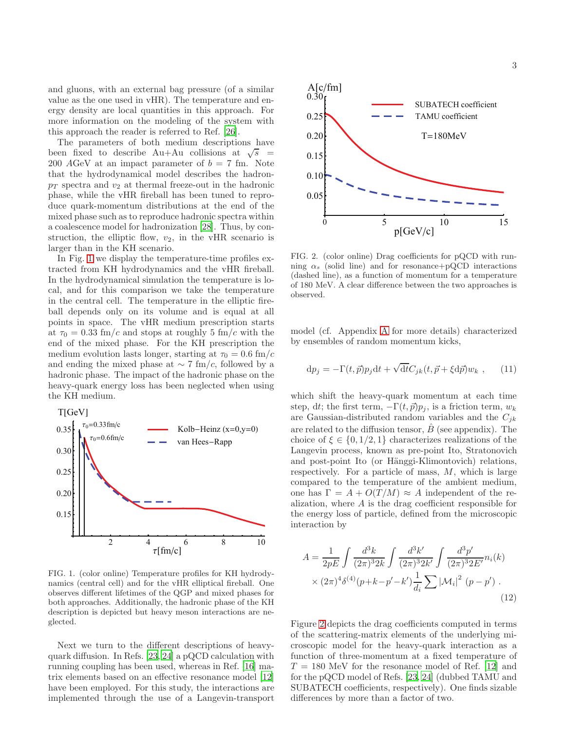and gluons, with an external bag pressure (of a similar value as the one used in vHR). The temperature and energy density are local quantities in this approach. For more information on the modeling of the system with this approach the reader is referred to Ref. [\[26\]](#page-8-6).

The parameters of both medium descriptions have been fixed to describe  $Au+Au$  collisions at  $\sqrt{s}$  = 200 AGeV at an impact parameter of  $b = 7$  fm. Note that the hydrodynamical model describes the hadron $p_T$  spectra and  $v_2$  at thermal freeze-out in the hadronic phase, while the vHR fireball has been tuned to reproduce quark-momentum distributions at the end of the mixed phase such as to reproduce hadronic spectra within a coalescence model for hadronization [\[28\]](#page-8-11). Thus, by construction, the elliptic flow,  $v_2$ , in the vHR scenario is larger than in the KH scenario.

In Fig. [1](#page-2-0) we display the temperature-time profiles extracted from KH hydrodynamics and the vHR fireball. In the hydrodynamical simulation the temperature is local, and for this comparison we take the temperature in the central cell. The temperature in the elliptic fireball depends only on its volume and is equal at all points in space. The vHR medium prescription starts at  $\tau_0 = 0.33$  fm/c and stops at roughly 5 fm/c with the end of the mixed phase. For the KH prescription the medium evolution lasts longer, starting at  $\tau_0 = 0.6$  fm/c and ending the mixed phase at  $\sim$  7 fm/c, followed by a hadronic phase. The impact of the hadronic phase on the heavy-quark energy loss has been neglected when using the KH medium.



<span id="page-2-0"></span>0 observes different lifetimes of the QGP and mixed phases for FIG. 1. (color online) Temperature profiles for KH hydrodynamics (central cell) and for the vHR elliptical fireball. One both approaches. Additionally, the hadronic phase of the KH description is depicted but heavy meson interactions are neglected.

Next we turn to the different descriptions of heavyquark diffusion. In Refs. [\[23,](#page-8-9) [24\]](#page-8-4) a pQCD calculation with running coupling has been used, whereas in Ref. [\[16](#page-8-8)] matrix elements based on an effective resonance model [\[12\]](#page-8-7) have been employed. For this study, the interactions are implemented through the use of a Langevin-transport



<span id="page-2-1"></span>FIG. 2. (color online) Drag coefficients for pQCD with running  $\alpha_s$  (solid line) and for resonance+pQCD interactions (dashed line), as a function of momentum for a temperature of 180 MeV. A clear difference between the two approaches is observed.

model (cf. Appendix [A](#page-6-1) for more details) characterized by ensembles of random momentum kicks,

$$
dp_j = -\Gamma(t,\vec{p})p_j dt + \sqrt{dt}C_{jk}(t,\vec{p}+\xi d\vec{p})w_k , \qquad (11)
$$

which shift the heavy-quark momentum at each time step, dt; the first term,  $-\Gamma(t, \vec{p})p_i$ , is a friction term,  $w_k$ are Gaussian-distributed random variables and the  $C_{ik}$ are related to the diffusion tensor,  $\hat{B}$  (see appendix). The choice of  $\xi \in \{0, 1/2, 1\}$  characterizes realizations of the Langevin process, known as pre-point Ito, Stratonovich and post-point Ito (or Hänggi-Klimontovich) relations, respectively. For a particle of mass,  $M$ , which is large compared to the temperature of the ambient medium, one has  $\Gamma = A + O(T/M) \approx A$  independent of the realization, where A is the drag coefficient responsible for the energy loss of particle, defined from the microscopic interaction by

<span id="page-2-2"></span>
$$
A = \frac{1}{2pE} \int \frac{d^3k}{(2\pi)^3 2k} \int \frac{d^3k'}{(2\pi)^3 2k'} \int \frac{d^3p'}{(2\pi)^3 2E'} n_i(k)
$$

$$
\times (2\pi)^4 \delta^{(4)}(p+k-p'-k') \frac{1}{d_i} \sum |\mathcal{M}_i|^2 (p-p'). \tag{12}
$$

Figure [2](#page-2-1) depicts the drag coefficients computed in terms of the scattering-matrix elements of the underlying microscopic model for the heavy-quark interaction as a function of three-momentum at a fixed temperature of  $T = 180$  MeV for the resonance model of Ref. [\[12\]](#page-8-7) and for the pQCD model of Refs. [\[23](#page-8-9), [24\]](#page-8-4) (dubbed TAMU and SUBATECH coefficients, respectively). One finds sizable differences by more than a factor of two.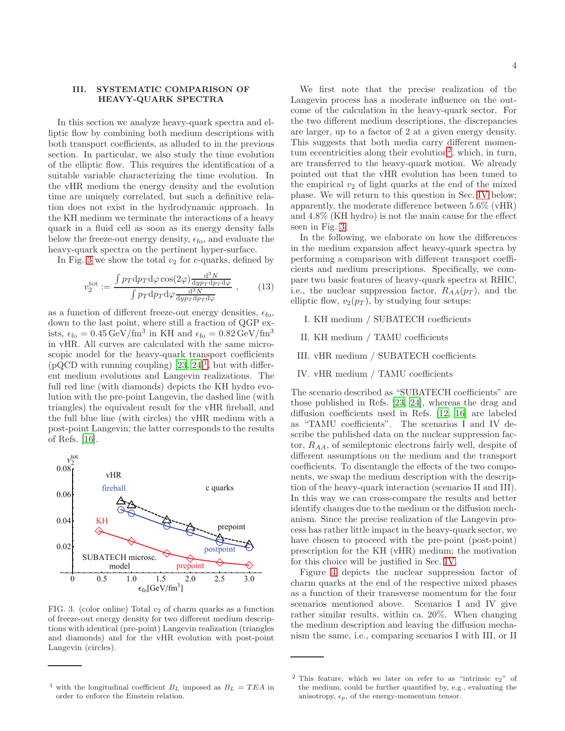### <span id="page-3-0"></span>III. SYSTEMATIC COMPARISON OF HEAVY-QUARK SPECTRA

In this section we analyze heavy-quark spectra and elliptic flow by combining both medium descriptions with both transport coefficients, as alluded to in the previous section. In particular, we also study the time evolution of the elliptic flow. This requires the identification of a suitable variable characterizing the time evolution. In the vHR medium the energy density and the evolution time are uniquely correlated, but such a definitive relation does not exist in the hydrodynamic approach. In the KH medium we terminate the interactions of a heavy quark in a fluid cell as soon as its energy density falls below the freeze-out energy density,  $\epsilon_{\text{fo}}$ , and evaluate the heavy-quark spectra on the pertinent hyper-surface.

In Fig. [3](#page-3-1) we show the total  $v_2$  for c-quarks, defined by

$$
v_2^{\text{tot}} := \frac{\int p_T \, \mathrm{d}p_T \, \mathrm{d}\varphi \cos(2\varphi) \frac{\mathrm{d}^3 N}{\mathrm{d}y p_T \, \mathrm{d}p_T \, \mathrm{d}\varphi}}{\int p_T \, \mathrm{d}p_T \, \mathrm{d}\varphi \frac{\mathrm{d}^3 N}{\mathrm{d}y p_T \, \mathrm{d}p_T \, \mathrm{d}\varphi}} \,, \tag{13}
$$

as a function of different freeze-out energy densities,  $\epsilon_{\text{fo}}$ , down to the last point, where still a fraction of QGP exists,  $\epsilon_{\text{fo}} = 0.45 \,\text{GeV}/\text{fm}^3$  in KH and  $\epsilon_{\text{fo}} = 0.82 \,\text{GeV}/\text{fm}^3$ in vHR. All curves are calculated with the same microscopic model for the heavy-quark transport coefficients  $(pQCD$  with running coupling)  $[23, 24]$  $[23, 24]$  $[23, 24]$ <sup>[1](#page-3-2)</sup>, but with different medium evolutions and Langevin realizations. The full red line (with diamonds) depicts the KH hydro evolution with the pre-point Langevin, the dashed line (with triangles) the equivalent result for the vHR fireball, and the full blue line (with circles) the vHR medium with a post-point Langevin; the latter corresponds to the results of Refs. [\[16](#page-8-8)].



<span id="page-3-1"></span>FIG. 3. (color online) Total  $v_2$  of charm quarks as a function of freeze-out energy density for two different medium descriptions with identical (pre-point) Langevin realization (triangles and diamonds) and for the vHR evolution with post-point Langevin (circles).

<span id="page-3-4"></span>In the following, we elaborate on how the differences in the medium expansion affect heavy-quark spectra by performing a comparison with different transport coefficients and medium prescriptions. Specifically, we compare two basic features of heavy-quark spectra at RHIC, i.e., the nuclear suppression factor,  $R_{AA}(p_T)$ , and the elliptic flow,  $v_2(p_T)$ , by studying four setups:

- I. KH medium / SUBATECH coefficients
- II. KH medium / TAMU coefficients
- III. vHR medium / SUBATECH coefficients
- IV. vHR medium / TAMU coefficients

The scenario described as "SUBATECH coefficients" are those published in Refs. [\[23](#page-8-9), [24\]](#page-8-4), whereas the drag and diffusion coefficients used in Refs. [\[12,](#page-8-7) [16\]](#page-8-8) are labeled as "TAMU coefficients". The scenarios I and IV describe the published data on the nuclear suppression factor,  $R_{AA}$ , of semileptonic electrons fairly well, despite of different assumptions on the medium and the transport coefficients. To disentangle the effects of the two components, we swap the medium description with the description of the heavy-quark interaction (scenarios II and III). In this way we can cross-compare the results and better identify changes due to the medium or the diffusion mechanism. Since the precise realization of the Langevin process has rather little impact in the heavy-quark sector, we have chosen to proceed with the pre-point (post-point) prescription for the KH (vHR) medium; the motivation for this choice will be justified in Sec. [IV.](#page-4-0)

Figure [4](#page-4-1) depicts the nuclear suppression factor of charm quarks at the end of the respective mixed phases as a function of their transverse momentum for the four scenarios mentioned above. Scenarios I and IV give rather similar results, within ca. 20%. When changing the medium description and leaving the diffusion mechanism the same, i.e., comparing scenarios I with III, or II

<span id="page-3-2"></span><sup>&</sup>lt;sup>1</sup> with the longitudinal coefficient  $B_L$  imposed as  $B_L = T E A$  in order to enforce the Einstein relation.

We first note that the precise realization of the Langevin process has a moderate influence on the outcome of the calculation in the heavy-quark sector. For the two different medium descriptions, the discrepancies are larger, up to a factor of 2 at a given energy density. This suggests that both media carry different momen-tum eccentricities along their evolution<sup>[2](#page-3-3)</sup>, which, in turn, are transferred to the heavy-quark motion. We already pointed out that the vHR evolution has been tuned to the empirical  $v_2$  of light quarks at the end of the mixed phase. We will return to this question in Sec. [IV](#page-4-0) below; apparently, the moderate difference between 5.6% (vHR) and 4.8% (KH hydro) is not the main cause for the effect seen in Fig. [3.](#page-3-1)

<span id="page-3-3"></span><sup>&</sup>lt;sup>2</sup> This feature, which we later on refer to as "intrinsic  $v_2$ " of the medium, could be further quantified by, e.g., evaluating the anisotropy,  $\epsilon_p$ , of the energy-momentum tensor.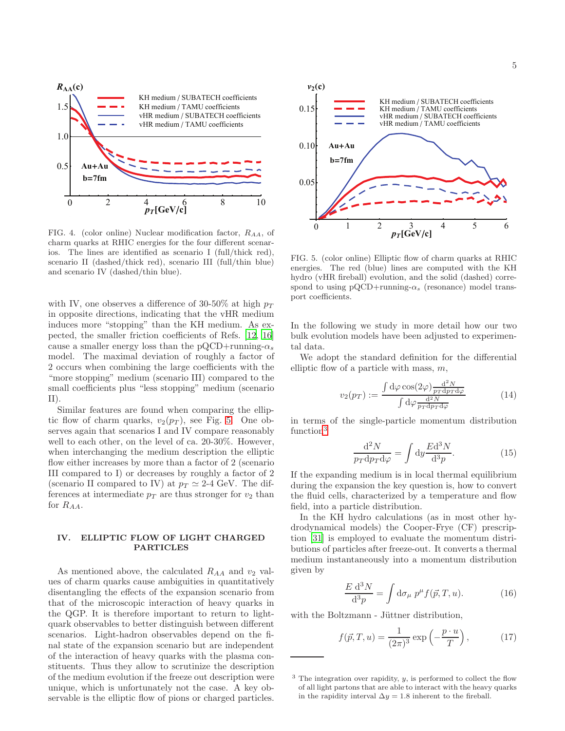

<span id="page-4-1"></span>FIG. 4. (color online) Nuclear modification factor,  $R_{AA}$ , of charm quarks at RHIC energies for the four different scenarios. The lines are identified as scenario I (full/thick red), scenario II (dashed/thick red), scenario III (full/thin blue) and scenario IV (dashed/thin blue).

with IV, one observes a difference of 30-50% at high  $p_T$ in opposite directions, indicating that the vHR medium induces more "stopping" than the KH medium. As expected, the smaller friction coefficients of Refs. [\[12,](#page-8-7) [16\]](#page-8-8) cause a smaller energy loss than the pQCD+running- $\alpha_s$ model. The maximal deviation of roughly a factor of 2 occurs when combining the large coefficients with the "more stopping" medium (scenario III) compared to the small coefficients plus "less stopping" medium (scenario II).

Similar features are found when comparing the elliptic flow of charm quarks,  $v_2(p_T)$ , see Fig. [5.](#page-4-2) One observes again that scenarios I and IV compare reasonably well to each other, on the level of ca. 20-30%. However, when interchanging the medium description the elliptic flow either increases by more than a factor of 2 (scenario III compared to I) or decreases by roughly a factor of 2 (scenario II compared to IV) at  $p_T \simeq 2$ -4 GeV. The differences at intermediate  $p_T$  are thus stronger for  $v_2$  than for  $R_{AA}$ .

## <span id="page-4-0"></span>IV. ELLIPTIC FLOW OF LIGHT CHARGED PARTICLES

As mentioned above, the calculated  $R_{AA}$  and  $v_2$  values of charm quarks cause ambiguities in quantitatively disentangling the effects of the expansion scenario from that of the microscopic interaction of heavy quarks in the QGP. It is therefore important to return to lightquark observables to better distinguish between different scenarios. Light-hadron observables depend on the final state of the expansion scenario but are independent of the interaction of heavy quarks with the plasma constituents. Thus they allow to scrutinize the description of the medium evolution if the freeze out description were unique, which is unfortunately not the case. A key observable is the elliptic flow of pions or charged particles.



<span id="page-4-2"></span>FIG. 5. (color online) Elliptic flow of charm quarks at RHIC energies. The red (blue) lines are computed with the KH hydro (vHR fireball) evolution, and the solid (dashed) correspond to using  $pQCD+running-\alpha_s$  (resonance) model transport coefficients.

In the following we study in more detail how our two bulk evolution models have been adjusted to experimental data.

We adopt the standard definition for the differential elliptic flow of a particle with mass,  $m$ ,

$$
v_2(p_T) := \frac{\int d\varphi \cos(2\varphi) \frac{d^2 N}{p_T dp_T d\varphi}}{\int d\varphi \frac{d^2 N}{p_T dp_T d\varphi}}
$$
(14)

in terms of the single-particle momentum distribution function<sup>[3](#page-4-3)</sup>

<span id="page-4-4"></span>
$$
\frac{\mathrm{d}^2 N}{p_T \mathrm{d} p_T \mathrm{d} \varphi} = \int \mathrm{d} y \frac{E \mathrm{d}^3 N}{\mathrm{d}^3 p}.\tag{15}
$$

If the expanding medium is in local thermal equilibrium during the expansion the key question is, how to convert the fluid cells, characterized by a temperature and flow field, into a particle distribution.

In the KH hydro calculations (as in most other hydrodynamical models) the Cooper-Frye (CF) prescription [\[31\]](#page-8-14) is employed to evaluate the momentum distributions of particles after freeze-out. It converts a thermal medium instantaneously into a momentum distribution given by

<span id="page-4-5"></span>
$$
\frac{E \mathrm{d}^3 N}{\mathrm{d}^3 p} = \int \mathrm{d}\sigma_\mu \ p^\mu f(\vec{p}, T, u). \tag{16}
$$

with the Boltzmann - Jüttner distribution,

$$
f(\vec{p},T,u) = \frac{1}{(2\pi)^3} \exp\left(-\frac{p\cdot u}{T}\right),\tag{17}
$$

<span id="page-4-3"></span> $3$  The integration over rapidity, y, is performed to collect the flow of all light partons that are able to interact with the heavy quarks in the rapidity interval  $\Delta y = 1.8$  inherent to the fireball.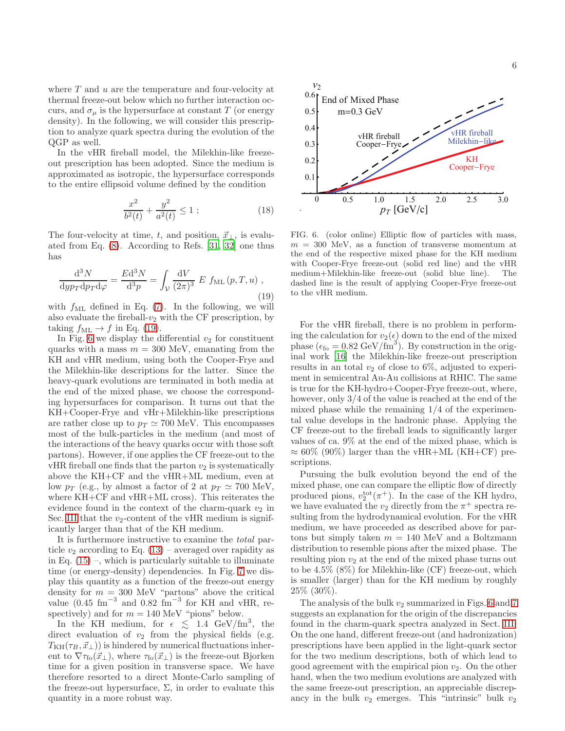where  $T$  and  $u$  are the temperature and four-velocity at thermal freeze-out below which no further interaction occurs, and  $\sigma_{\mu}$  is the hypersurface at constant T (or energy density). In the following, we will consider this prescription to analyze quark spectra during the evolution of the QGP as well.

In the vHR fireball model, the Milekhin-like freezeout prescription has been adopted. Since the medium is approximated as isotropic, the hypersurface corresponds to the entire ellipsoid volume defined by the condition

$$
\frac{x^2}{b^2(t)} + \frac{y^2}{a^2(t)} \le 1 \tag{18}
$$

The four-velocity at time, t, and position,  $\vec{x}_{\perp}$ , is evaluated from Eq. [\(8\)](#page-1-3). According to Refs. [\[31,](#page-8-14) [32\]](#page-8-15) one thus has

<span id="page-5-0"></span>
$$
\frac{\mathrm{d}^3 N}{\mathrm{d}y p_T \mathrm{d}p_T \mathrm{d}\varphi} = \frac{Ed^3 N}{\mathrm{d}^3 p} = \int_{\mathcal{V}} \frac{\mathrm{d}V}{(2\pi)^3} E f_{\text{ML}}(p, T, u) ,
$$
\n(19)

with  $f_{ML}$  defined in Eq. [\(7\)](#page-1-2). In the following, we will also evaluate the fireball- $v_2$  with the CF prescription, by taking  $f_{\text{ML}} \rightarrow f$  in Eq. [\(19\)](#page-5-0).

In Fig. [6](#page-5-1) we display the differential  $v_2$  for constituent quarks with a mass  $m = 300$  MeV, emanating from the KH and vHR medium, using both the Cooper-Frye and the Milekhin-like descriptions for the latter. Since the heavy-quark evolutions are terminated in both media at the end of the mixed phase, we choose the corresponding hypersurfaces for comparison. It turns out that the KH+Cooper-Frye and vHr+Milekhin-like prescriptions are rather close up to  $p_T \simeq 700$  MeV. This encompasses most of the bulk-particles in the medium (and most of the interactions of the heavy quarks occur with those soft partons). However, if one applies the CF freeze-out to the  $vHR$  fireball one finds that the parton  $v_2$  is systematically above the KH+CF and the vHR+ML medium, even at low  $p_T$  (e.g., by almost a factor of 2 at  $p_T \simeq 700$  MeV, where KH+CF and vHR+ML cross). This reiterates the evidence found in the context of the charm-quark  $v_2$  in Sec. [III](#page-3-0) that the  $v_2$ -content of the vHR medium is significantly larger than that of the KH medium.

It is furthermore instructive to examine the total particle  $v_2$  according to Eq. [\(13\)](#page-3-4) – averaged over rapidity as in Eq.  $(15)$  –, which is particularly suitable to illuminate time (or energy-density) dependencies. In Fig. [7](#page-6-2) we display this quantity as a function of the freeze-out energy density for  $m = 300$  MeV "partons" above the critical value  $(0.45 \text{ fm}^{-3} \text{ and } 0.82 \text{ fm}^{-3} \text{ for KH and vHR, re-}$ spectively) and for  $m = 140$  MeV "pions" below.

In the KH medium, for  $\epsilon \leq 1.4 \text{ GeV}/\text{fm}^3$ , the direct evaluation of  $v_2$  from the physical fields (e.g.  $T<sub>KH</sub>(\tau<sub>B</sub>, \vec{x}_\perp)$ ) is hindered by numerical fluctuations inherent to  $\nabla \tau_{\text{fo}}(\vec{x}_\perp)$ , where  $\tau_{\text{fo}}(\vec{x}_\perp)$  is the freeze-out Bjorken time for a given position in transverse space. We have therefore resorted to a direct Monte-Carlo sampling of the freeze-out hypersurface,  $\Sigma$ , in order to evaluate this quantity in a more robust way.



<span id="page-5-1"></span>FIG. 6. (color online) Elliptic flow of particles with mass,  $m = 300$  MeV, as a function of transverse momentum at the end of the respective mixed phase for the KH medium with Cooper-Frye freeze-out (solid red line) and the vHR medium+Milekhin-like freeze-out (solid blue line). The dashed line is the result of applying Cooper-Frye freeze-out to the vHR medium.

For the vHR fireball, there is no problem in performing the calculation for  $v_2(\epsilon)$  down to the end of the mixed phase ( $\epsilon_{\text{fo}} = 0.82 \text{ GeV/fm}^3$ ). By construction in the original work [\[16\]](#page-8-8) the Milekhin-like freeze-out prescription results in an total  $v_2$  of close to 6\%, adjusted to experiment in semicentral Au-Au collisions at RHIC. The same is true for the KH-hydro+Cooper-Frye freeze-out, where, however, only 3/4 of the value is reached at the end of the mixed phase while the remaining 1/4 of the experimental value develops in the hadronic phase. Applying the CF freeze-out to the fireball leads to significantly larger values of ca. 9% at the end of the mixed phase, which is  $\approx 60\%$  (90%) larger than the vHR+ML (KH+CF) prescriptions.

Pursuing the bulk evolution beyond the end of the mixed phase, one can compare the elliptic flow of directly produced pions,  $v_2^{\text{tot}}(\pi^+)$ . In the case of the KH hydro, we have evaluated the  $v_2$  directly from the  $\pi^+$  spectra resulting from the hydrodynamical evolution. For the vHR medium, we have proceeded as described above for partons but simply taken  $m = 140$  MeV and a Boltzmann distribution to resemble pions after the mixed phase. The resulting pion  $v_2$  at the end of the mixed phase turns out to be 4.5% (8%) for Milekhin-like (CF) freeze-out, which is smaller (larger) than for the KH medium by roughly 25% (30%).

The analysis of the bulk  $v_2$  summarized in Figs. [6](#page-5-1) and [7](#page-6-2) suggests an explanation for the origin of the discrepancies found in the charm-quark spectra analyzed in Sect. [III:](#page-3-0) On the one hand, different freeze-out (and hadronization) prescriptions have been applied in the light-quark sector for the two medium descriptions, both of which lead to good agreement with the empirical pion  $v_2$ . On the other hand, when the two medium evolutions are analyzed with the same freeze-out prescription, an appreciable discrepancy in the bulk  $v_2$  emerges. This "intrinsic" bulk  $v_2$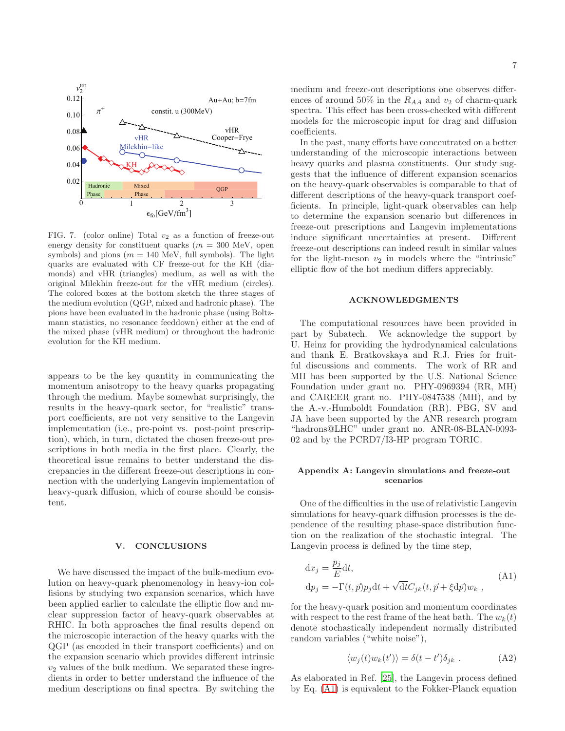

<span id="page-6-2"></span>FIG. 7. (color online) Total  $v_2$  as a function of freeze-out energy density for constituent quarks  $(m = 300 \text{ MeV})$ , open symbols) and pions ( $m = 140$  MeV, full symbols). The light quarks are evaluated with CF freeze-out for the KH (diamonds) and vHR (triangles) medium, as well as with the original Milekhin freeze-out for the vHR medium (circles). The colored boxes at the bottom sketch the three stages of the medium evolution (QGP, mixed and hadronic phase). The pions have been evaluated in the hadronic phase (using Boltzmann statistics, no resonance feeddown) either at the end of the mixed phase (vHR medium) or throughout the hadronic evolution for the KH medium.

appears to be the key quantity in communicating the momentum anisotropy to the heavy quarks propagating through the medium. Maybe somewhat surprisingly, the results in the heavy-quark sector, for "realistic" transport coefficients, are not very sensitive to the Langevin implementation (i.e., pre-point vs. post-point prescription), which, in turn, dictated the chosen freeze-out prescriptions in both media in the first place. Clearly, the theoretical issue remains to better understand the discrepancies in the different freeze-out descriptions in connection with the underlying Langevin implementation of heavy-quark diffusion, which of course should be consistent.

### <span id="page-6-0"></span>V. CONCLUSIONS

We have discussed the impact of the bulk-medium evolution on heavy-quark phenomenology in heavy-ion collisions by studying two expansion scenarios, which have been applied earlier to calculate the elliptic flow and nuclear suppression factor of heavy-quark observables at RHIC. In both approaches the final results depend on the microscopic interaction of the heavy quarks with the QGP (as encoded in their transport coefficients) and on the expansion scenario which provides different intrinsic  $v_2$  values of the bulk medium. We separated these ingredients in order to better understand the influence of the medium descriptions on final spectra. By switching the medium and freeze-out descriptions one observes differences of around 50% in the  $R_{AA}$  and  $v_2$  of charm-quark spectra. This effect has been cross-checked with different models for the microscopic input for drag and diffusion coefficients.

In the past, many efforts have concentrated on a better understanding of the microscopic interactions between heavy quarks and plasma constituents. Our study suggests that the influence of different expansion scenarios on the heavy-quark observables is comparable to that of different descriptions of the heavy-quark transport coefficients. In principle, light-quark observables can help to determine the expansion scenario but differences in freeze-out prescriptions and Langevin implementations induce significant uncertainties at present. Different freeze-out descriptions can indeed result in similar values for the light-meson  $v_2$  in models where the "intrinsic" elliptic flow of the hot medium differs appreciably.

### ACKNOWLEDGMENTS

The computational resources have been provided in part by Subatech. We acknowledge the support by U. Heinz for providing the hydrodynamical calculations and thank E. Bratkovskaya and R.J. Fries for fruitful discussions and comments. The work of RR and MH has been supported by the U.S. National Science Foundation under grant no. PHY-0969394 (RR, MH) and CAREER grant no. PHY-0847538 (MH), and by the A.-v.-Humboldt Foundation (RR). PBG, SV and JA have been supported by the ANR research program "hadrons@LHC" under grant no. ANR-08-BLAN-0093- 02 and by the PCRD7/I3-HP program TORIC.

### <span id="page-6-1"></span>Appendix A: Langevin simulations and freeze-out scenarios

One of the difficulties in the use of relativistic Langevin simulations for heavy-quark diffusion processes is the dependence of the resulting phase-space distribution function on the realization of the stochastic integral. The Langevin process is defined by the time step,

$$
dx_j = \frac{p_j}{E} dt,
$$
  
\n
$$
dp_j = -\Gamma(t, \vec{p})p_j dt + \sqrt{dt} C_{jk}(t, \vec{p} + \xi d\vec{p}) w_k,
$$
\n(A1)

for the heavy-quark position and momentum coordinates with respect to the rest frame of the heat bath. The  $w_k(t)$ denote stochastically independent normally distributed random variables ("white noise"),

<span id="page-6-3"></span>
$$
\langle w_j(t)w_k(t')\rangle = \delta(t - t')\delta_{jk} . \tag{A2}
$$

As elaborated in Ref. [\[25\]](#page-8-5), the Langevin process defined by Eq. [\(A1\)](#page-6-3) is equivalent to the Fokker-Planck equation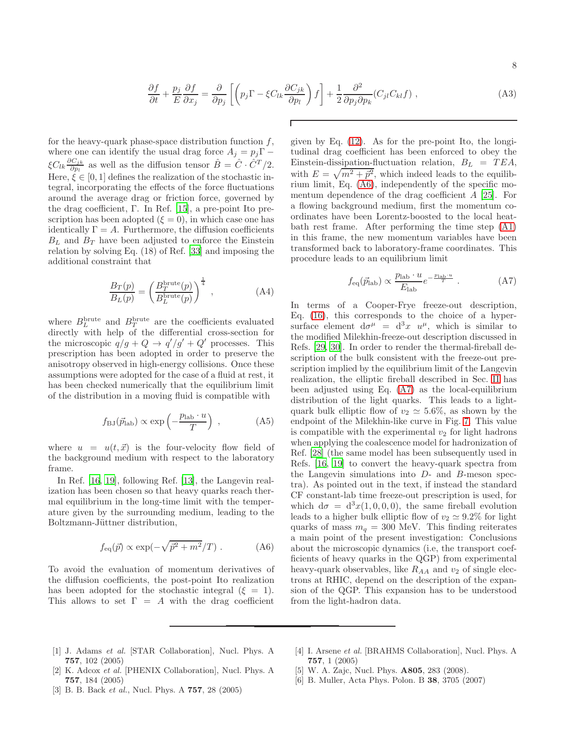$$
\frac{\partial f}{\partial t} + \frac{p_j}{E} \frac{\partial f}{\partial x_j} = \frac{\partial}{\partial p_j} \left[ \left( p_j \Gamma - \xi C_{lk} \frac{\partial C_{jk}}{\partial p_l} \right) f \right] + \frac{1}{2} \frac{\partial^2}{\partial p_j \partial p_k} (C_{jl} C_{kl} f) , \tag{A3}
$$

Г

for the heavy-quark phase-space distribution function  $f$ , where one can identify the usual drag force  $A_j = p_j \Gamma$  –  $\xi C_{lk} \frac{\partial C_{jk}}{\partial p_l}$  $\frac{\partial C_{jk}}{\partial p_l}$  as well as the diffusion tensor  $\hat{B} = \hat{C} \cdot \hat{C}^T/2$ . Here,  $\zeta \in [0, 1]$  defines the realization of the stochastic integral, incorporating the effects of the force fluctuations around the average drag or friction force, governed by the drag coefficient, Γ. In Ref. [\[15\]](#page-8-16), a pre-point Ito prescription has been adopted  $({\xi = 0})$ , in which case one has identically  $\Gamma = A$ . Furthermore, the diffusion coefficients  $B_L$  and  $B_T$  have been adjusted to enforce the Einstein relation by solving Eq. (18) of Ref. [\[33\]](#page-8-17) and imposing the additional constraint that

$$
\frac{B_T(p)}{B_L(p)} = \left(\frac{B_T^{\text{brute}}(p)}{B_L^{\text{brute}}(p)}\right)^{\frac{1}{4}},\tag{A4}
$$

where  $B_L^{\text{brute}}$  and  $B_T^{\text{brute}}$  are the coefficients evaluated directly with help of the differential cross-section for the microscopic  $q/g + Q \rightarrow q'/g' + Q'$  processes. This prescription has been adopted in order to preserve the anisotropy observed in high-energy collisions. Once these assumptions were adopted for the case of a fluid at rest, it has been checked numerically that the equilibrium limit of the distribution in a moving fluid is compatible with

$$
f_{\rm BJ}(\vec{p}_{\rm lab}) \propto \exp\left(-\frac{p_{\rm lab} \cdot u}{T}\right) ,
$$
 (A5)

where  $u = u(t, \vec{x})$  is the four-velocity flow field of the background medium with respect to the laboratory frame.

In Ref. [\[16](#page-8-8), [19](#page-8-18)], following Ref. [\[13\]](#page-8-19), the Langevin realization has been chosen so that heavy quarks reach thermal equilibrium in the long-time limit with the temperature given by the surrounding medium, leading to the Boltzmann-Jüttner distribution,

<span id="page-7-1"></span>
$$
f_{\text{eq}}(\vec{p}) \propto \exp(-\sqrt{\vec{p}^2 + m^2}/T) \ . \tag{A6}
$$

To avoid the evaluation of momentum derivatives of the diffusion coefficients, the post-point Ito realization has been adopted for the stochastic integral  $(\xi = 1)$ . This allows to set  $\Gamma = A$  with the drag coefficient

given by Eq. (12). As for the pre-point Ito, the longi-  
tudinal drag coefficient has been enforced to obey the  
Einstein-dissipation-fluctuation relation, 
$$
B_L = TEA
$$
,  
with  $E = \sqrt{m^2 + \vec{p}^2}$ , which indeed leads to the equilib-  
rium limit, Eq. (A6), independently of the specific mo-  
mentum dependence of the drag coefficient A [25]. For  
a flowing background medium, first the momentum co-  
ordinates have been Lorentz-boosted to the local heat-  
bath rest frame. After performing the time step (A1)  
in this frame, the new momentum variables have been  
transformed back to laboratory-frame coordinates. This  
procedure leads to an equilibrium limit

<span id="page-7-2"></span>
$$
f_{\text{eq}}(\vec{p}_{\text{lab}}) \propto \frac{p_{\text{lab}} \cdot u}{E_{\text{lab}}} e^{-\frac{p_{\text{lab}} \cdot u}{T}} \,. \tag{A7}
$$

In terms of a Cooper-Frye freeze-out description, Eq. [\(16\)](#page-4-5), this corresponds to the choice of a hypersurface element  $d\sigma^{\mu} = d^3x u^{\mu}$ , which is similar to the modified Milekhin-freeze-out description discussed in Refs. [\[29,](#page-8-12) [30\]](#page-8-13). In order to render the thermal-fireball description of the bulk consistent with the freeze-out prescription implied by the equilibrium limit of the Langevin realization, the elliptic fireball described in Sec. [II](#page-1-0) has been adjusted using Eq. [\(A7\)](#page-7-2) as the local-equilibrium distribution of the light quarks. This leads to a lightquark bulk elliptic flow of  $v_2 \approx 5.6\%$ , as shown by the endpoint of the Milekhin-like curve in Fig. [7.](#page-6-2) This value is compatible with the experimental  $v_2$  for light hadrons when applying the coalescence model for hadronization of Ref. [\[28\]](#page-8-11) (the same model has been subsequently used in Refs. [\[16,](#page-8-8) [19](#page-8-18)] to convert the heavy-quark spectra from the Langevin simulations into D- and B-meson spectra). As pointed out in the text, if instead the standard CF constant-lab time freeze-out prescription is used, for which  $d\sigma = d^3x(1,0,0,0)$ , the same fireball evolution leads to a higher bulk elliptic flow of  $v_2 \simeq 9.2\%$  for light quarks of mass  $m_q = 300$  MeV. This finding reiterates a main point of the present investigation: Conclusions about the microscopic dynamics (i.e, the transport coefficients of heavy quarks in the QGP) from experimental heavy-quark observables, like  $R_{AA}$  and  $v_2$  of single electrons at RHIC, depend on the description of the expansion of the QGP. This expansion has to be understood from the light-hadron data.

- <span id="page-7-0"></span>[1] J. Adams et al. [STAR Collaboration], Nucl. Phys. A 757, 102 (2005)
- [2] K. Adcox et al. [PHENIX Collaboration], Nucl. Phys. A 757, 184 (2005)
- [4] I. Arsene et al. [BRAHMS Collaboration], Nucl. Phys. A 757, 1 (2005)
- [5] W. A. Zajc, Nucl. Phys. A805, 283 (2008).
- [6] B. Muller, Acta Phys. Polon. B 38, 3705 (2007)
- [3] B. B. Back et al., Nucl. Phys. A **757**, 28 (2005)